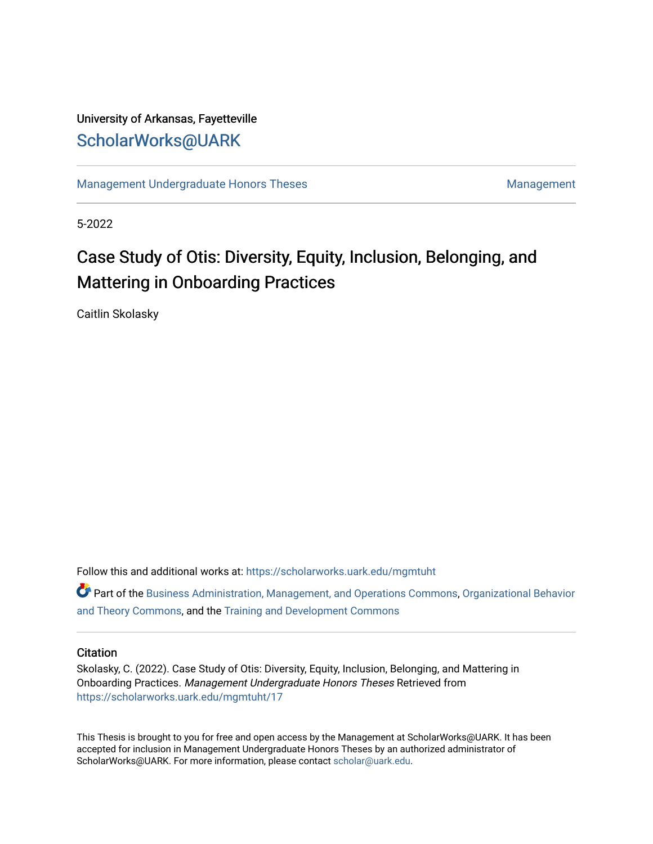# University of Arkansas, Fayetteville [ScholarWorks@UARK](https://scholarworks.uark.edu/)

[Management Undergraduate Honors Theses](https://scholarworks.uark.edu/mgmtuht) [Management](https://scholarworks.uark.edu/mgmt) Management

5-2022

# Case Study of Otis: Diversity, Equity, Inclusion, Belonging, and Mattering in Onboarding Practices

Caitlin Skolasky

Follow this and additional works at: [https://scholarworks.uark.edu/mgmtuht](https://scholarworks.uark.edu/mgmtuht?utm_source=scholarworks.uark.edu%2Fmgmtuht%2F17&utm_medium=PDF&utm_campaign=PDFCoverPages) 

Part of the [Business Administration, Management, and Operations Commons](http://network.bepress.com/hgg/discipline/623?utm_source=scholarworks.uark.edu%2Fmgmtuht%2F17&utm_medium=PDF&utm_campaign=PDFCoverPages), [Organizational Behavior](http://network.bepress.com/hgg/discipline/639?utm_source=scholarworks.uark.edu%2Fmgmtuht%2F17&utm_medium=PDF&utm_campaign=PDFCoverPages) [and Theory Commons](http://network.bepress.com/hgg/discipline/639?utm_source=scholarworks.uark.edu%2Fmgmtuht%2F17&utm_medium=PDF&utm_campaign=PDFCoverPages), and the [Training and Development Commons](http://network.bepress.com/hgg/discipline/1257?utm_source=scholarworks.uark.edu%2Fmgmtuht%2F17&utm_medium=PDF&utm_campaign=PDFCoverPages) 

# **Citation**

Skolasky, C. (2022). Case Study of Otis: Diversity, Equity, Inclusion, Belonging, and Mattering in Onboarding Practices. Management Undergraduate Honors Theses Retrieved from [https://scholarworks.uark.edu/mgmtuht/17](https://scholarworks.uark.edu/mgmtuht/17?utm_source=scholarworks.uark.edu%2Fmgmtuht%2F17&utm_medium=PDF&utm_campaign=PDFCoverPages)

This Thesis is brought to you for free and open access by the Management at ScholarWorks@UARK. It has been accepted for inclusion in Management Undergraduate Honors Theses by an authorized administrator of ScholarWorks@UARK. For more information, please contact [scholar@uark.edu](mailto:scholar@uark.edu).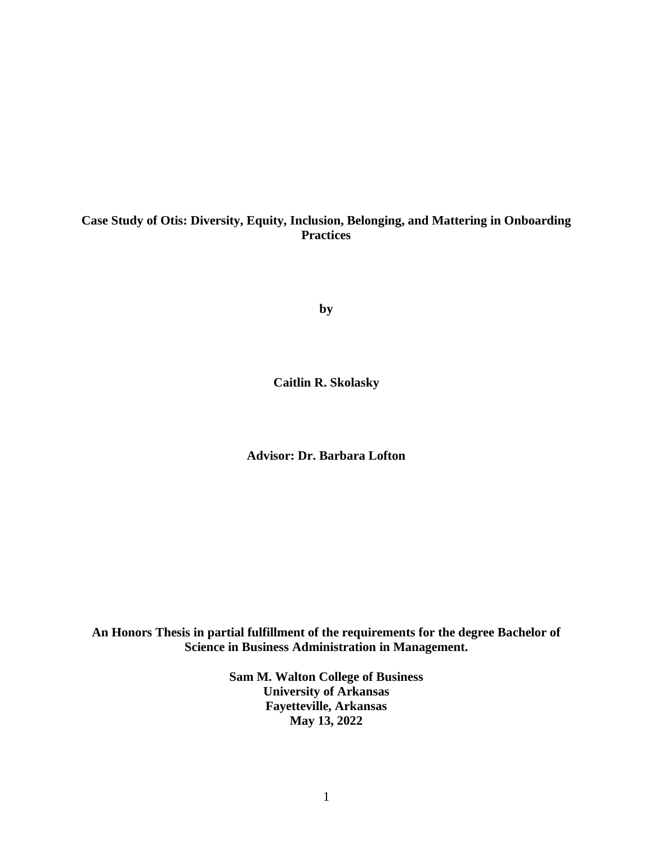# **Case Study of Otis: Diversity, Equity, Inclusion, Belonging, and Mattering in Onboarding Practices**

**by**

**Caitlin R. Skolasky**

**Advisor: Dr. Barbara Lofton**

**An Honors Thesis in partial fulfillment of the requirements for the degree Bachelor of Science in Business Administration in Management.**

> **Sam M. Walton College of Business University of Arkansas Fayetteville, Arkansas May 13, 2022**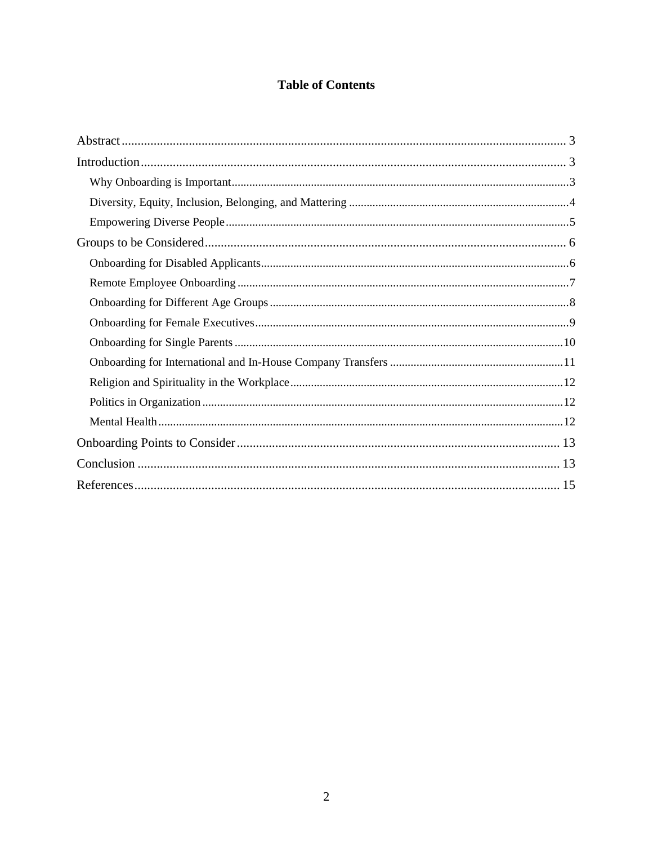# **Table of Contents**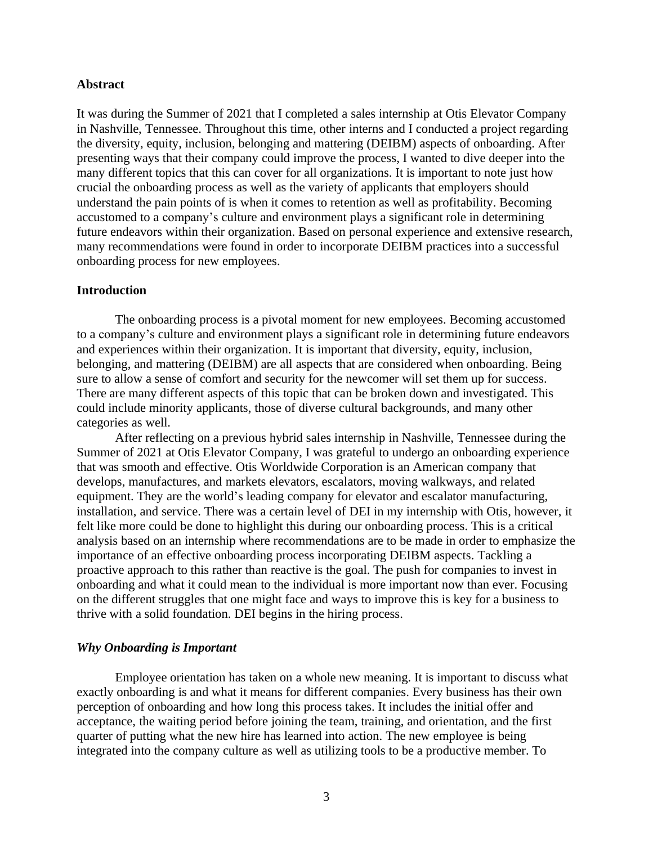# <span id="page-3-0"></span>**Abstract**

It was during the Summer of 2021 that I completed a sales internship at Otis Elevator Company in Nashville, Tennessee. Throughout this time, other interns and I conducted a project regarding the diversity, equity, inclusion, belonging and mattering (DEIBM) aspects of onboarding. After presenting ways that their company could improve the process, I wanted to dive deeper into the many different topics that this can cover for all organizations. It is important to note just how crucial the onboarding process as well as the variety of applicants that employers should understand the pain points of is when it comes to retention as well as profitability. Becoming accustomed to a company's culture and environment plays a significant role in determining future endeavors within their organization. Based on personal experience and extensive research, many recommendations were found in order to incorporate DEIBM practices into a successful onboarding process for new employees.

# <span id="page-3-1"></span>**Introduction**

The onboarding process is a pivotal moment for new employees. Becoming accustomed to a company's culture and environment plays a significant role in determining future endeavors and experiences within their organization. It is important that diversity, equity, inclusion, belonging, and mattering (DEIBM) are all aspects that are considered when onboarding. Being sure to allow a sense of comfort and security for the newcomer will set them up for success. There are many different aspects of this topic that can be broken down and investigated. This could include minority applicants, those of diverse cultural backgrounds, and many other categories as well.

After reflecting on a previous hybrid sales internship in Nashville, Tennessee during the Summer of 2021 at Otis Elevator Company, I was grateful to undergo an onboarding experience that was smooth and effective. Otis Worldwide Corporation is an American company that develops, manufactures, and markets elevators, escalators, moving walkways, and related equipment. They are the world's leading company for elevator and escalator manufacturing, installation, and service. There was a certain level of DEI in my internship with Otis, however, it felt like more could be done to highlight this during our onboarding process. This is a critical analysis based on an internship where recommendations are to be made in order to emphasize the importance of an effective onboarding process incorporating DEIBM aspects. Tackling a proactive approach to this rather than reactive is the goal. The push for companies to invest in onboarding and what it could mean to the individual is more important now than ever. Focusing on the different struggles that one might face and ways to improve this is key for a business to thrive with a solid foundation. DEI begins in the hiring process.

### <span id="page-3-2"></span>*Why Onboarding is Important*

Employee orientation has taken on a whole new meaning. It is important to discuss what exactly onboarding is and what it means for different companies. Every business has their own perception of onboarding and how long this process takes. It includes the initial offer and acceptance, the waiting period before joining the team, training, and orientation, and the first quarter of putting what the new hire has learned into action. The new employee is being integrated into the company culture as well as utilizing tools to be a productive member. To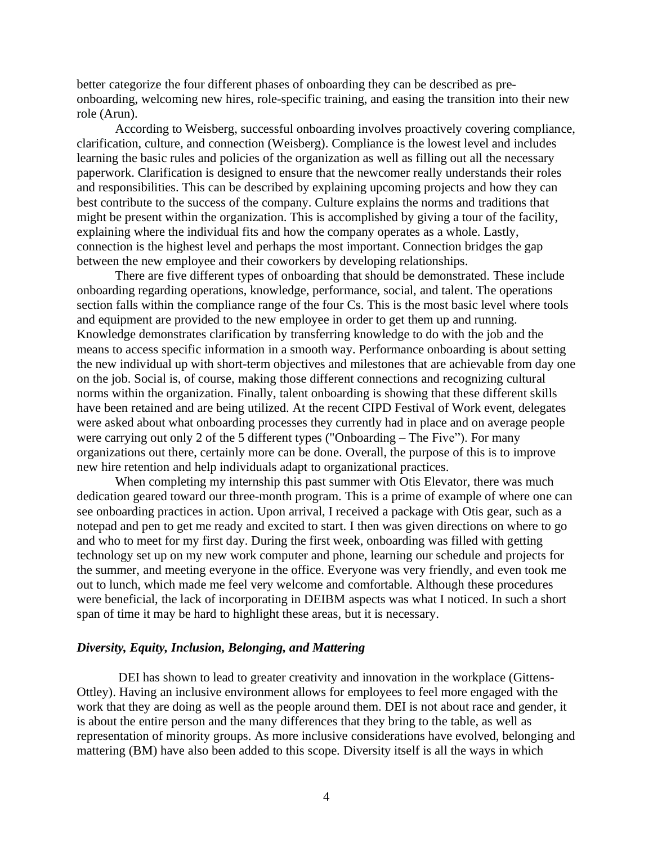better categorize the four different phases of onboarding they can be described as preonboarding, welcoming new hires, role-specific training, and easing the transition into their new role (Arun).

According to Weisberg, successful onboarding involves proactively covering compliance, clarification, culture, and connection (Weisberg). Compliance is the lowest level and includes learning the basic rules and policies of the organization as well as filling out all the necessary paperwork. Clarification is designed to ensure that the newcomer really understands their roles and responsibilities. This can be described by explaining upcoming projects and how they can best contribute to the success of the company. Culture explains the norms and traditions that might be present within the organization. This is accomplished by giving a tour of the facility, explaining where the individual fits and how the company operates as a whole. Lastly, connection is the highest level and perhaps the most important. Connection bridges the gap between the new employee and their coworkers by developing relationships.

There are five different types of onboarding that should be demonstrated. These include onboarding regarding operations, knowledge, performance, social, and talent. The operations section falls within the compliance range of the four Cs. This is the most basic level where tools and equipment are provided to the new employee in order to get them up and running. Knowledge demonstrates clarification by transferring knowledge to do with the job and the means to access specific information in a smooth way. Performance onboarding is about setting the new individual up with short-term objectives and milestones that are achievable from day one on the job. Social is, of course, making those different connections and recognizing cultural norms within the organization. Finally, talent onboarding is showing that these different skills have been retained and are being utilized. At the recent CIPD Festival of Work event, delegates were asked about what onboarding processes they currently had in place and on average people were carrying out only 2 of the 5 different types ("Onboarding – The Five"). For many organizations out there, certainly more can be done. Overall, the purpose of this is to improve new hire retention and help individuals adapt to organizational practices.

When completing my internship this past summer with Otis Elevator, there was much dedication geared toward our three-month program. This is a prime of example of where one can see onboarding practices in action. Upon arrival, I received a package with Otis gear, such as a notepad and pen to get me ready and excited to start. I then was given directions on where to go and who to meet for my first day. During the first week, onboarding was filled with getting technology set up on my new work computer and phone, learning our schedule and projects for the summer, and meeting everyone in the office. Everyone was very friendly, and even took me out to lunch, which made me feel very welcome and comfortable. Although these procedures were beneficial, the lack of incorporating in DEIBM aspects was what I noticed. In such a short span of time it may be hard to highlight these areas, but it is necessary.

# <span id="page-4-0"></span>*Diversity, Equity, Inclusion, Belonging, and Mattering*

DEI has shown to lead to greater creativity and innovation in the workplace (Gittens-Ottley). Having an inclusive environment allows for employees to feel more engaged with the work that they are doing as well as the people around them. DEI is not about race and gender, it is about the entire person and the many differences that they bring to the table, as well as representation of minority groups. As more inclusive considerations have evolved, belonging and mattering (BM) have also been added to this scope. Diversity itself is all the ways in which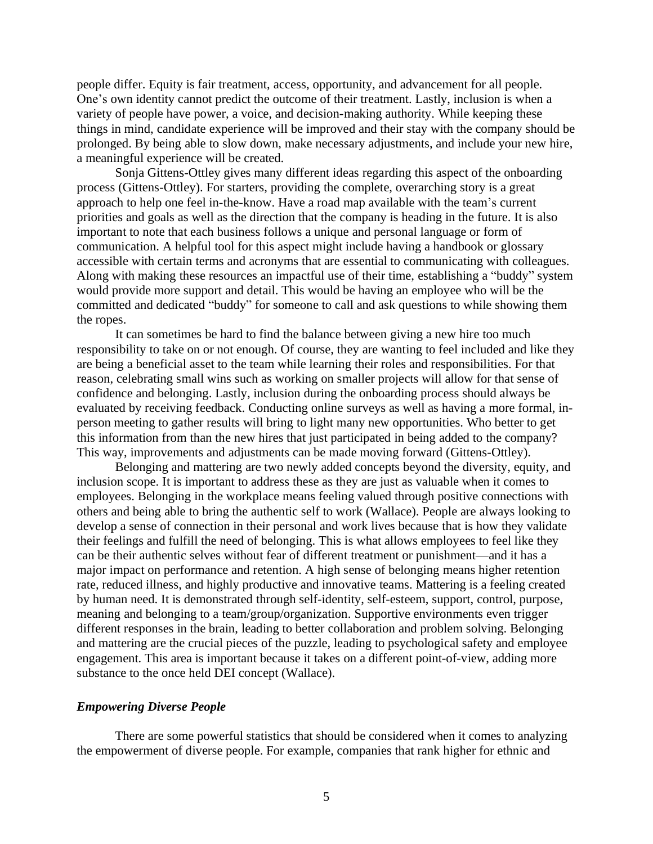people differ. Equity is fair treatment, access, opportunity, and advancement for all people. One's own identity cannot predict the outcome of their treatment. Lastly, inclusion is when a variety of people have power, a voice, and decision-making authority. While keeping these things in mind, candidate experience will be improved and their stay with the company should be prolonged. By being able to slow down, make necessary adjustments, and include your new hire, a meaningful experience will be created.

Sonja Gittens-Ottley gives many different ideas regarding this aspect of the onboarding process (Gittens-Ottley). For starters, providing the complete, overarching story is a great approach to help one feel in-the-know. Have a road map available with the team's current priorities and goals as well as the direction that the company is heading in the future. It is also important to note that each business follows a unique and personal language or form of communication. A helpful tool for this aspect might include having a handbook or glossary accessible with certain terms and acronyms that are essential to communicating with colleagues. Along with making these resources an impactful use of their time, establishing a "buddy" system would provide more support and detail. This would be having an employee who will be the committed and dedicated "buddy" for someone to call and ask questions to while showing them the ropes.

It can sometimes be hard to find the balance between giving a new hire too much responsibility to take on or not enough. Of course, they are wanting to feel included and like they are being a beneficial asset to the team while learning their roles and responsibilities. For that reason, celebrating small wins such as working on smaller projects will allow for that sense of confidence and belonging. Lastly, inclusion during the onboarding process should always be evaluated by receiving feedback. Conducting online surveys as well as having a more formal, inperson meeting to gather results will bring to light many new opportunities. Who better to get this information from than the new hires that just participated in being added to the company? This way, improvements and adjustments can be made moving forward (Gittens-Ottley).

Belonging and mattering are two newly added concepts beyond the diversity, equity, and inclusion scope. It is important to address these as they are just as valuable when it comes to employees. Belonging in the workplace means feeling valued through positive connections with others and being able to bring the authentic self to work (Wallace). People are always looking to develop a sense of connection in their personal and work lives because that is how they validate their feelings and fulfill the need of belonging. This is what allows employees to feel like they can be their authentic selves without fear of different treatment or punishment—and it has a major impact on performance and retention. A high sense of belonging means higher retention rate, reduced illness, and highly productive and innovative teams. Mattering is a feeling created by human need. It is demonstrated through self-identity, self-esteem, support, control, purpose, meaning and belonging to a team/group/organization. Supportive environments even trigger different responses in the brain, leading to better collaboration and problem solving. Belonging and mattering are the crucial pieces of the puzzle, leading to psychological safety and employee engagement. This area is important because it takes on a different point-of-view, adding more substance to the once held DEI concept (Wallace).

# <span id="page-5-0"></span>*Empowering Diverse People*

There are some powerful statistics that should be considered when it comes to analyzing the empowerment of diverse people. For example, companies that rank higher for ethnic and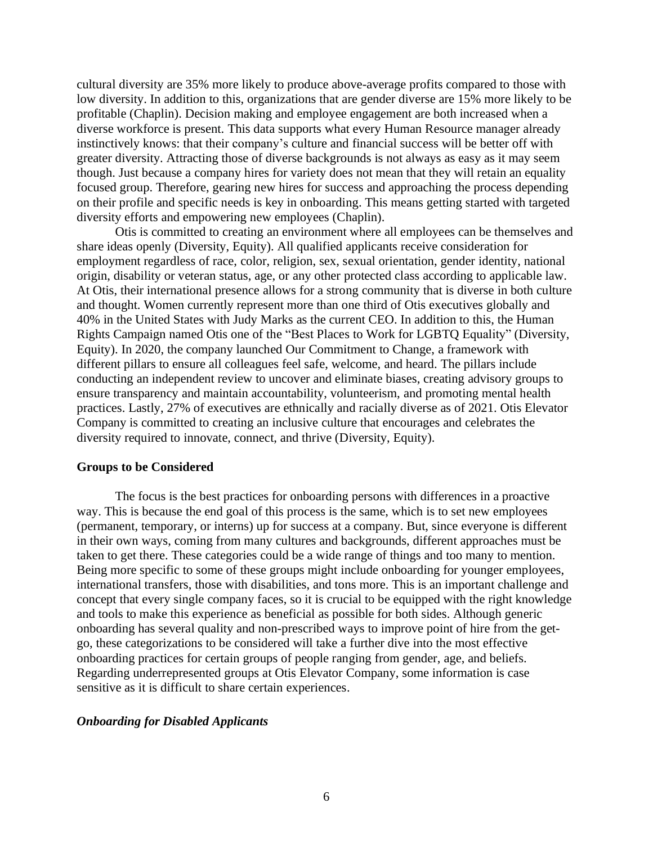cultural diversity are 35% more likely to produce above-average profits compared to those with low diversity. In addition to this, organizations that are gender diverse are 15% more likely to be profitable (Chaplin). Decision making and employee engagement are both increased when a diverse workforce is present. This data supports what every Human Resource manager already instinctively knows: that their company's culture and financial success will be better off with greater diversity. Attracting those of diverse backgrounds is not always as easy as it may seem though. Just because a company hires for variety does not mean that they will retain an equality focused group. Therefore, gearing new hires for success and approaching the process depending on their profile and specific needs is key in onboarding. This means getting started with targeted diversity efforts and empowering new employees (Chaplin).

Otis is committed to creating an environment where all employees can be themselves and share ideas openly (Diversity, Equity). All qualified applicants receive consideration for employment regardless of race, color, religion, sex, sexual orientation, gender identity, national origin, disability or veteran status, age, or any other protected class according to applicable law. At Otis, their international presence allows for a strong community that is diverse in both culture and thought. Women currently represent more than one third of Otis executives globally and 40% in the United States with Judy Marks as the current CEO. In addition to this, the Human Rights Campaign named Otis one of the "Best Places to Work for LGBTQ Equality" (Diversity, Equity). In 2020, the company launched Our Commitment to Change, a framework with different pillars to ensure all colleagues feel safe, welcome, and heard. The pillars include conducting an independent review to uncover and eliminate biases, creating advisory groups to ensure transparency and maintain accountability, volunteerism, and promoting mental health practices. Lastly, 27% of executives are ethnically and racially diverse as of 2021. Otis Elevator Company is committed to creating an inclusive culture that encourages and celebrates the diversity required to innovate, connect, and thrive (Diversity, Equity).

#### <span id="page-6-0"></span>**Groups to be Considered**

The focus is the best practices for onboarding persons with differences in a proactive way. This is because the end goal of this process is the same, which is to set new employees (permanent, temporary, or interns) up for success at a company. But, since everyone is different in their own ways, coming from many cultures and backgrounds, different approaches must be taken to get there. These categories could be a wide range of things and too many to mention. Being more specific to some of these groups might include onboarding for younger employees, international transfers, those with disabilities, and tons more. This is an important challenge and concept that every single company faces, so it is crucial to be equipped with the right knowledge and tools to make this experience as beneficial as possible for both sides. Although generic onboarding has several quality and non-prescribed ways to improve point of hire from the getgo, these categorizations to be considered will take a further dive into the most effective onboarding practices for certain groups of people ranging from gender, age, and beliefs. Regarding underrepresented groups at Otis Elevator Company, some information is case sensitive as it is difficult to share certain experiences.

# <span id="page-6-1"></span>*Onboarding for Disabled Applicants*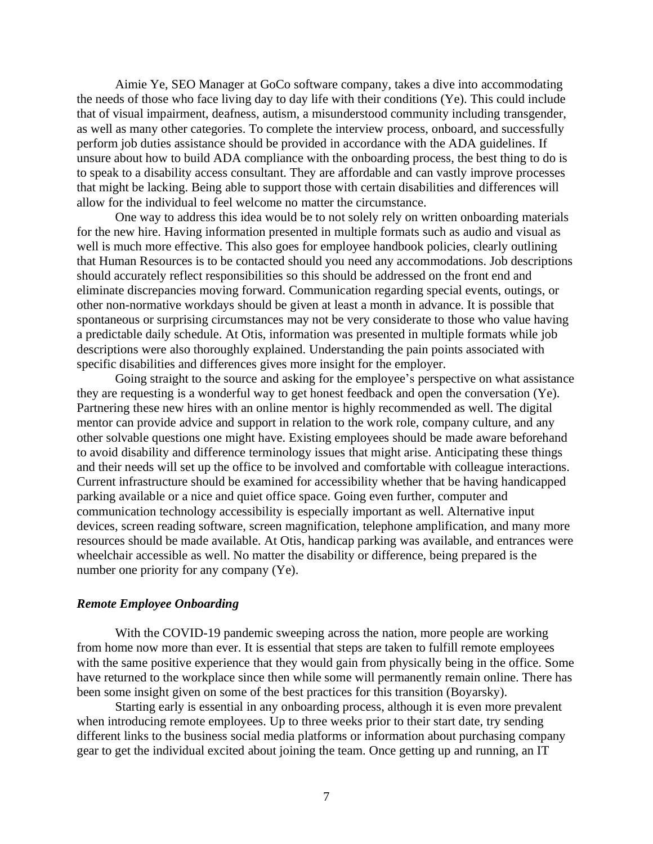Aimie Ye, SEO Manager at GoCo software company, takes a dive into accommodating the needs of those who face living day to day life with their conditions (Ye). This could include that of visual impairment, deafness, autism, a misunderstood community including transgender, as well as many other categories. To complete the interview process, onboard, and successfully perform job duties assistance should be provided in accordance with the ADA guidelines. If unsure about how to build ADA compliance with the onboarding process, the best thing to do is to speak to a disability access consultant. They are affordable and can vastly improve processes that might be lacking. Being able to support those with certain disabilities and differences will allow for the individual to feel welcome no matter the circumstance.

One way to address this idea would be to not solely rely on written onboarding materials for the new hire. Having information presented in multiple formats such as audio and visual as well is much more effective. This also goes for employee handbook policies, clearly outlining that Human Resources is to be contacted should you need any accommodations. Job descriptions should accurately reflect responsibilities so this should be addressed on the front end and eliminate discrepancies moving forward. Communication regarding special events, outings, or other non-normative workdays should be given at least a month in advance. It is possible that spontaneous or surprising circumstances may not be very considerate to those who value having a predictable daily schedule. At Otis, information was presented in multiple formats while job descriptions were also thoroughly explained. Understanding the pain points associated with specific disabilities and differences gives more insight for the employer.

Going straight to the source and asking for the employee's perspective on what assistance they are requesting is a wonderful way to get honest feedback and open the conversation (Ye). Partnering these new hires with an online mentor is highly recommended as well. The digital mentor can provide advice and support in relation to the work role, company culture, and any other solvable questions one might have. Existing employees should be made aware beforehand to avoid disability and difference terminology issues that might arise. Anticipating these things and their needs will set up the office to be involved and comfortable with colleague interactions. Current infrastructure should be examined for accessibility whether that be having handicapped parking available or a nice and quiet office space. Going even further, computer and communication technology accessibility is especially important as well. Alternative input devices, screen reading software, screen magnification, telephone amplification, and many more resources should be made available. At Otis, handicap parking was available, and entrances were wheelchair accessible as well. No matter the disability or difference, being prepared is the number one priority for any company (Ye).

# <span id="page-7-0"></span>*Remote Employee Onboarding*

With the COVID-19 pandemic sweeping across the nation, more people are working from home now more than ever. It is essential that steps are taken to fulfill remote employees with the same positive experience that they would gain from physically being in the office. Some have returned to the workplace since then while some will permanently remain online. There has been some insight given on some of the best practices for this transition (Boyarsky).

Starting early is essential in any onboarding process, although it is even more prevalent when introducing remote employees. Up to three weeks prior to their start date, try sending different links to the business social media platforms or information about purchasing company gear to get the individual excited about joining the team. Once getting up and running, an IT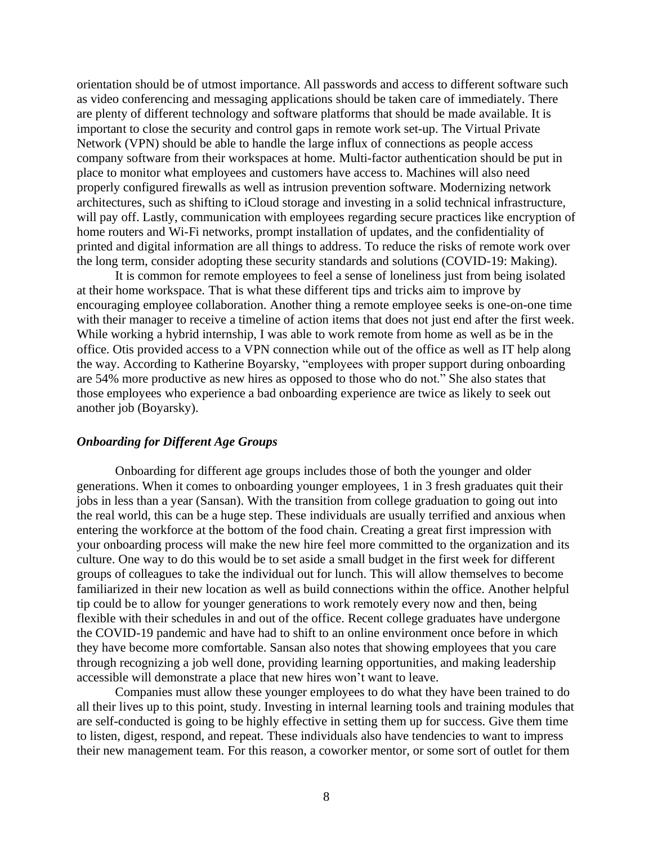orientation should be of utmost importance. All passwords and access to different software such as video conferencing and messaging applications should be taken care of immediately. There are plenty of different technology and software platforms that should be made available. It is important to close the security and control gaps in remote work set-up. The Virtual Private Network (VPN) should be able to handle the large influx of connections as people access company software from their workspaces at home. Multi-factor authentication should be put in place to monitor what employees and customers have access to. Machines will also need properly configured firewalls as well as intrusion prevention software. Modernizing network architectures, such as shifting to iCloud storage and investing in a solid technical infrastructure, will pay off. Lastly, communication with employees regarding secure practices like encryption of home routers and Wi-Fi networks, prompt installation of updates, and the confidentiality of printed and digital information are all things to address. To reduce the risks of remote work over the long term, consider adopting these security standards and solutions (COVID-19: Making).

It is common for remote employees to feel a sense of loneliness just from being isolated at their home workspace. That is what these different tips and tricks aim to improve by encouraging employee collaboration. Another thing a remote employee seeks is one-on-one time with their manager to receive a timeline of action items that does not just end after the first week. While working a hybrid internship, I was able to work remote from home as well as be in the office. Otis provided access to a VPN connection while out of the office as well as IT help along the way. According to Katherine Boyarsky, "employees with proper support during onboarding are 54% more productive as new hires as opposed to those who do not." She also states that those employees who experience a bad onboarding experience are twice as likely to seek out another job (Boyarsky).

# <span id="page-8-0"></span>*Onboarding for Different Age Groups*

Onboarding for different age groups includes those of both the younger and older generations. When it comes to onboarding younger employees, 1 in 3 fresh graduates quit their jobs in less than a year (Sansan). With the transition from college graduation to going out into the real world, this can be a huge step. These individuals are usually terrified and anxious when entering the workforce at the bottom of the food chain. Creating a great first impression with your onboarding process will make the new hire feel more committed to the organization and its culture. One way to do this would be to set aside a small budget in the first week for different groups of colleagues to take the individual out for lunch. This will allow themselves to become familiarized in their new location as well as build connections within the office. Another helpful tip could be to allow for younger generations to work remotely every now and then, being flexible with their schedules in and out of the office. Recent college graduates have undergone the COVID-19 pandemic and have had to shift to an online environment once before in which they have become more comfortable. Sansan also notes that showing employees that you care through recognizing a job well done, providing learning opportunities, and making leadership accessible will demonstrate a place that new hires won't want to leave.

Companies must allow these younger employees to do what they have been trained to do all their lives up to this point, study. Investing in internal learning tools and training modules that are self-conducted is going to be highly effective in setting them up for success. Give them time to listen, digest, respond, and repeat. These individuals also have tendencies to want to impress their new management team. For this reason, a coworker mentor, or some sort of outlet for them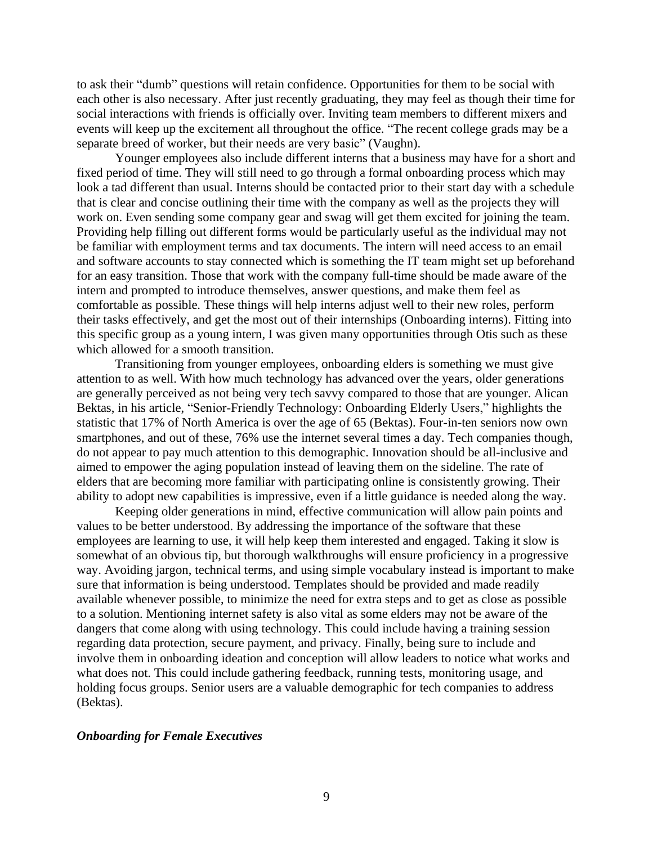to ask their "dumb" questions will retain confidence. Opportunities for them to be social with each other is also necessary. After just recently graduating, they may feel as though their time for social interactions with friends is officially over. Inviting team members to different mixers and events will keep up the excitement all throughout the office. "The recent college grads may be a separate breed of worker, but their needs are very basic" (Vaughn).

Younger employees also include different interns that a business may have for a short and fixed period of time. They will still need to go through a formal onboarding process which may look a tad different than usual. Interns should be contacted prior to their start day with a schedule that is clear and concise outlining their time with the company as well as the projects they will work on. Even sending some company gear and swag will get them excited for joining the team. Providing help filling out different forms would be particularly useful as the individual may not be familiar with employment terms and tax documents. The intern will need access to an email and software accounts to stay connected which is something the IT team might set up beforehand for an easy transition. Those that work with the company full-time should be made aware of the intern and prompted to introduce themselves, answer questions, and make them feel as comfortable as possible. These things will help interns adjust well to their new roles, perform their tasks effectively, and get the most out of their internships (Onboarding interns). Fitting into this specific group as a young intern, I was given many opportunities through Otis such as these which allowed for a smooth transition.

Transitioning from younger employees, onboarding elders is something we must give attention to as well. With how much technology has advanced over the years, older generations are generally perceived as not being very tech savvy compared to those that are younger. Alican Bektas, in his article, "Senior-Friendly Technology: Onboarding Elderly Users," highlights the statistic that 17% of North America is over the age of 65 (Bektas). Four-in-ten seniors now own smartphones, and out of these, 76% use the internet several times a day. Tech companies though, do not appear to pay much attention to this demographic. Innovation should be all-inclusive and aimed to empower the aging population instead of leaving them on the sideline. The rate of elders that are becoming more familiar with participating online is consistently growing. Their ability to adopt new capabilities is impressive, even if a little guidance is needed along the way.

Keeping older generations in mind, effective communication will allow pain points and values to be better understood. By addressing the importance of the software that these employees are learning to use, it will help keep them interested and engaged. Taking it slow is somewhat of an obvious tip, but thorough walkthroughs will ensure proficiency in a progressive way. Avoiding jargon, technical terms, and using simple vocabulary instead is important to make sure that information is being understood. Templates should be provided and made readily available whenever possible, to minimize the need for extra steps and to get as close as possible to a solution. Mentioning internet safety is also vital as some elders may not be aware of the dangers that come along with using technology. This could include having a training session regarding data protection, secure payment, and privacy. Finally, being sure to include and involve them in onboarding ideation and conception will allow leaders to notice what works and what does not. This could include gathering feedback, running tests, monitoring usage, and holding focus groups. Senior users are a valuable demographic for tech companies to address (Bektas).

# <span id="page-9-0"></span>*Onboarding for Female Executives*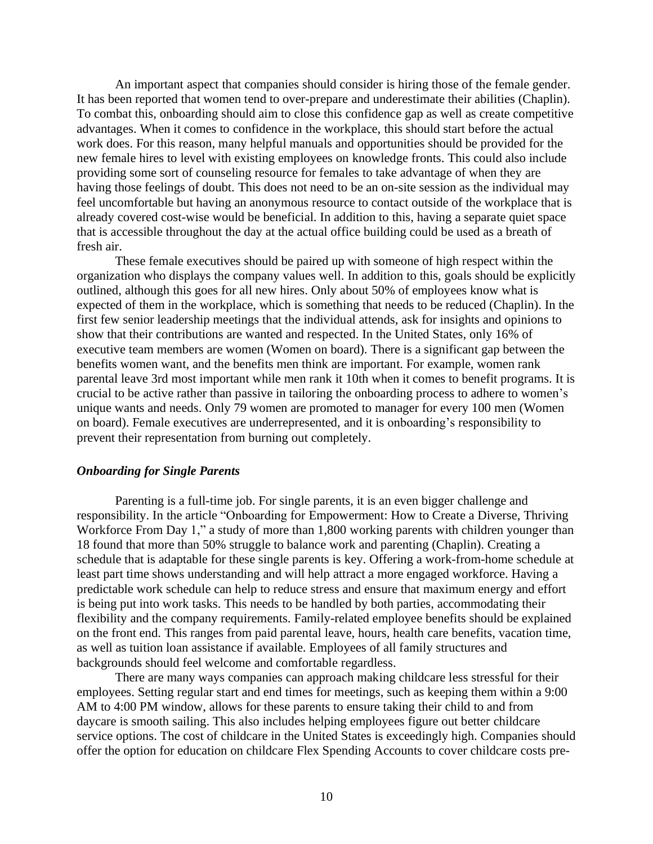An important aspect that companies should consider is hiring those of the female gender. It has been reported that women tend to over-prepare and underestimate their abilities (Chaplin). To combat this, onboarding should aim to close this confidence gap as well as create competitive advantages. When it comes to confidence in the workplace, this should start before the actual work does. For this reason, many helpful manuals and opportunities should be provided for the new female hires to level with existing employees on knowledge fronts. This could also include providing some sort of counseling resource for females to take advantage of when they are having those feelings of doubt. This does not need to be an on-site session as the individual may feel uncomfortable but having an anonymous resource to contact outside of the workplace that is already covered cost-wise would be beneficial. In addition to this, having a separate quiet space that is accessible throughout the day at the actual office building could be used as a breath of fresh air.

These female executives should be paired up with someone of high respect within the organization who displays the company values well. In addition to this, goals should be explicitly outlined, although this goes for all new hires. Only about 50% of employees know what is expected of them in the workplace, which is something that needs to be reduced (Chaplin). In the first few senior leadership meetings that the individual attends, ask for insights and opinions to show that their contributions are wanted and respected. In the United States, only 16% of executive team members are women (Women on board). There is a significant gap between the benefits women want, and the benefits men think are important. For example, women rank parental leave 3rd most important while men rank it 10th when it comes to benefit programs. It is crucial to be active rather than passive in tailoring the onboarding process to adhere to women's unique wants and needs. Only 79 women are promoted to manager for every 100 men (Women on board). Female executives are underrepresented, and it is onboarding's responsibility to prevent their representation from burning out completely.

# <span id="page-10-0"></span>*Onboarding for Single Parents*

Parenting is a full-time job. For single parents, it is an even bigger challenge and responsibility. In the article "Onboarding for Empowerment: How to Create a Diverse, Thriving Workforce From Day 1," a study of more than 1,800 working parents with children younger than 18 found that more than 50% struggle to balance work and parenting (Chaplin). Creating a schedule that is adaptable for these single parents is key. Offering a work-from-home schedule at least part time shows understanding and will help attract a more engaged workforce. Having a predictable work schedule can help to reduce stress and ensure that maximum energy and effort is being put into work tasks. This needs to be handled by both parties, accommodating their flexibility and the company requirements. Family-related employee benefits should be explained on the front end. This ranges from paid parental leave, hours, health care benefits, vacation time, as well as tuition loan assistance if available. Employees of all family structures and backgrounds should feel welcome and comfortable regardless.

There are many ways companies can approach making childcare less stressful for their employees. Setting regular start and end times for meetings, such as keeping them within a 9:00 AM to 4:00 PM window, allows for these parents to ensure taking their child to and from daycare is smooth sailing. This also includes helping employees figure out better childcare service options. The cost of childcare in the United States is exceedingly high. Companies should offer the option for education on childcare Flex Spending Accounts to cover childcare costs pre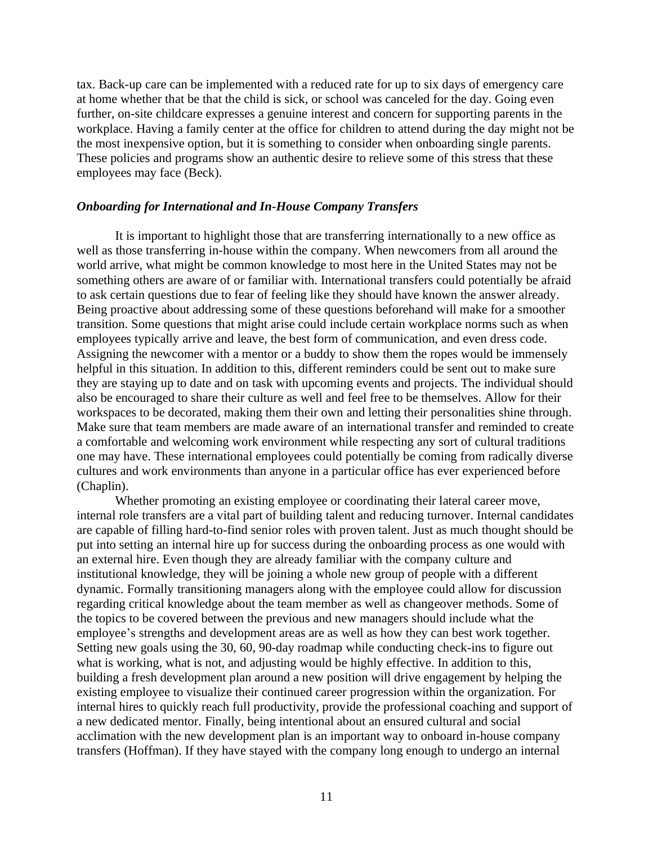tax. Back-up care can be implemented with a reduced rate for up to six days of emergency care at home whether that be that the child is sick, or school was canceled for the day. Going even further, on-site childcare expresses a genuine interest and concern for supporting parents in the workplace. Having a family center at the office for children to attend during the day might not be the most inexpensive option, but it is something to consider when onboarding single parents. These policies and programs show an authentic desire to relieve some of this stress that these employees may face (Beck).

# <span id="page-11-0"></span>*Onboarding for International and In-House Company Transfers*

It is important to highlight those that are transferring internationally to a new office as well as those transferring in-house within the company. When newcomers from all around the world arrive, what might be common knowledge to most here in the United States may not be something others are aware of or familiar with. International transfers could potentially be afraid to ask certain questions due to fear of feeling like they should have known the answer already. Being proactive about addressing some of these questions beforehand will make for a smoother transition. Some questions that might arise could include certain workplace norms such as when employees typically arrive and leave, the best form of communication, and even dress code. Assigning the newcomer with a mentor or a buddy to show them the ropes would be immensely helpful in this situation. In addition to this, different reminders could be sent out to make sure they are staying up to date and on task with upcoming events and projects. The individual should also be encouraged to share their culture as well and feel free to be themselves. Allow for their workspaces to be decorated, making them their own and letting their personalities shine through. Make sure that team members are made aware of an international transfer and reminded to create a comfortable and welcoming work environment while respecting any sort of cultural traditions one may have. These international employees could potentially be coming from radically diverse cultures and work environments than anyone in a particular office has ever experienced before (Chaplin).

Whether promoting an existing employee or coordinating their lateral career move, internal role transfers are a vital part of building talent and reducing turnover. Internal candidates are capable of filling hard-to-find senior roles with proven talent. Just as much thought should be put into setting an internal hire up for success during the onboarding process as one would with an external hire. Even though they are already familiar with the company culture and institutional knowledge, they will be joining a whole new group of people with a different dynamic. Formally transitioning managers along with the employee could allow for discussion regarding critical knowledge about the team member as well as changeover methods. Some of the topics to be covered between the previous and new managers should include what the employee's strengths and development areas are as well as how they can best work together. Setting new goals using the 30, 60, 90-day roadmap while conducting check-ins to figure out what is working, what is not, and adjusting would be highly effective. In addition to this, building a fresh development plan around a new position will drive engagement by helping the existing employee to visualize their continued career progression within the organization. For internal hires to quickly reach full productivity, provide the professional coaching and support of a new dedicated mentor. Finally, being intentional about an ensured cultural and social acclimation with the new development plan is an important way to onboard in-house company transfers (Hoffman). If they have stayed with the company long enough to undergo an internal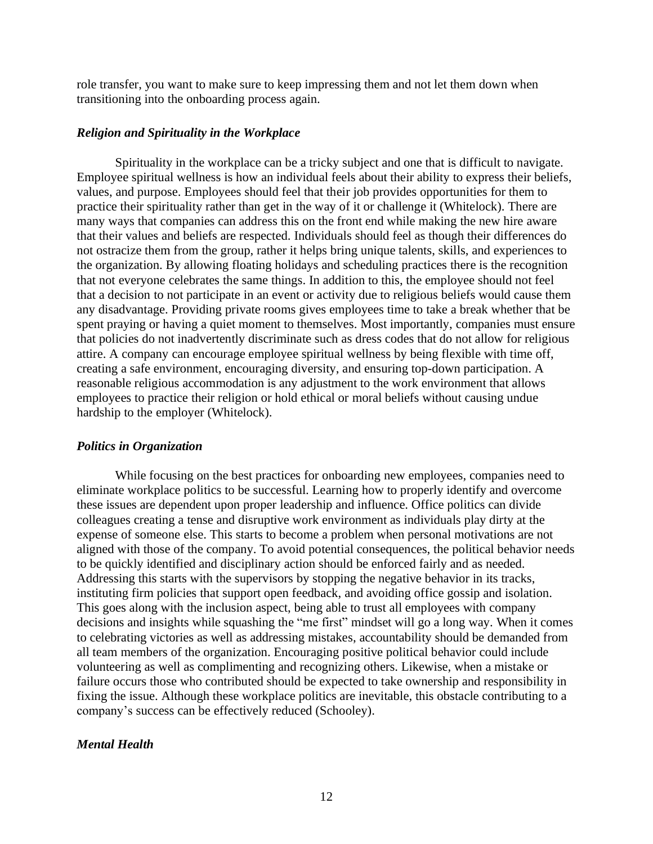role transfer, you want to make sure to keep impressing them and not let them down when transitioning into the onboarding process again.

### <span id="page-12-0"></span>*Religion and Spirituality in the Workplace*

Spirituality in the workplace can be a tricky subject and one that is difficult to navigate. Employee spiritual wellness is how an individual feels about their ability to express their beliefs, values, and purpose. Employees should feel that their job provides opportunities for them to practice their spirituality rather than get in the way of it or challenge it (Whitelock). There are many ways that companies can address this on the front end while making the new hire aware that their values and beliefs are respected. Individuals should feel as though their differences do not ostracize them from the group, rather it helps bring unique talents, skills, and experiences to the organization. By allowing floating holidays and scheduling practices there is the recognition that not everyone celebrates the same things. In addition to this, the employee should not feel that a decision to not participate in an event or activity due to religious beliefs would cause them any disadvantage. Providing private rooms gives employees time to take a break whether that be spent praying or having a quiet moment to themselves. Most importantly, companies must ensure that policies do not inadvertently discriminate such as dress codes that do not allow for religious attire. A company can encourage employee spiritual wellness by being flexible with time off, creating a safe environment, encouraging diversity, and ensuring top-down participation. A reasonable religious accommodation is any adjustment to the work environment that allows employees to practice their religion or hold ethical or moral beliefs without causing undue hardship to the employer (Whitelock).

#### <span id="page-12-1"></span>*Politics in Organization*

While focusing on the best practices for onboarding new employees, companies need to eliminate workplace politics to be successful. Learning how to properly identify and overcome these issues are dependent upon proper leadership and influence. Office politics can divide colleagues creating a tense and disruptive work environment as individuals play dirty at the expense of someone else. This starts to become a problem when personal motivations are not aligned with those of the company. To avoid potential consequences, the political behavior needs to be quickly identified and disciplinary action should be enforced fairly and as needed. Addressing this starts with the supervisors by stopping the negative behavior in its tracks, instituting firm policies that support open feedback, and avoiding office gossip and isolation. This goes along with the inclusion aspect, being able to trust all employees with company decisions and insights while squashing the "me first" mindset will go a long way. When it comes to celebrating victories as well as addressing mistakes, accountability should be demanded from all team members of the organization. Encouraging positive political behavior could include volunteering as well as complimenting and recognizing others. Likewise, when a mistake or failure occurs those who contributed should be expected to take ownership and responsibility in fixing the issue. Although these workplace politics are inevitable, this obstacle contributing to a company's success can be effectively reduced (Schooley).

# <span id="page-12-2"></span>*Mental Health*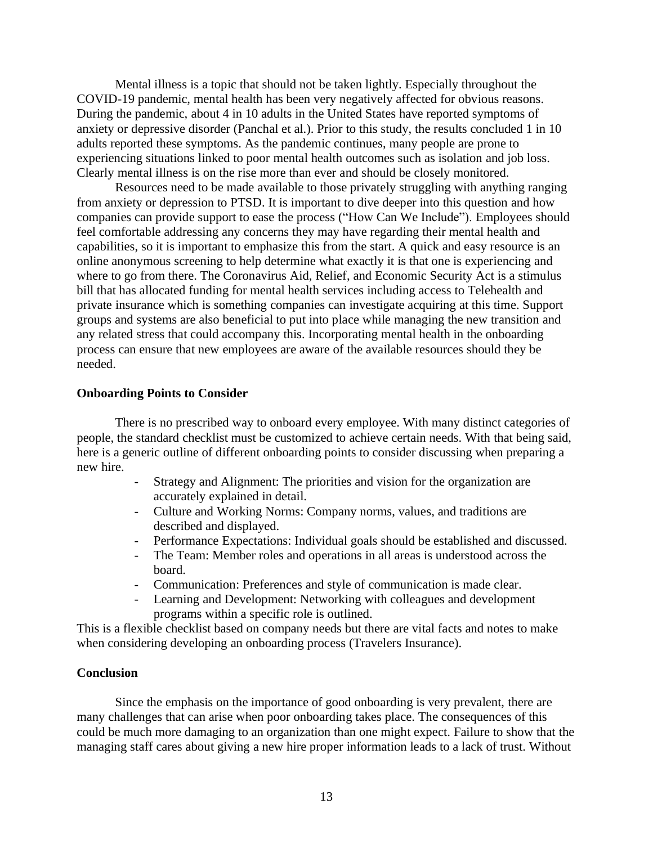Mental illness is a topic that should not be taken lightly. Especially throughout the COVID-19 pandemic, mental health has been very negatively affected for obvious reasons. During the pandemic, about 4 in 10 adults in the United States have reported symptoms of anxiety or depressive disorder (Panchal et al.). Prior to this study, the results concluded 1 in 10 adults reported these symptoms. As the pandemic continues, many people are prone to experiencing situations linked to poor mental health outcomes such as isolation and job loss. Clearly mental illness is on the rise more than ever and should be closely monitored.

Resources need to be made available to those privately struggling with anything ranging from anxiety or depression to PTSD. It is important to dive deeper into this question and how companies can provide support to ease the process ("How Can We Include"). Employees should feel comfortable addressing any concerns they may have regarding their mental health and capabilities, so it is important to emphasize this from the start. A quick and easy resource is an online anonymous screening to help determine what exactly it is that one is experiencing and where to go from there. The Coronavirus Aid, Relief, and Economic Security Act is a stimulus bill that has allocated funding for mental health services including access to Telehealth and private insurance which is something companies can investigate acquiring at this time. Support groups and systems are also beneficial to put into place while managing the new transition and any related stress that could accompany this. Incorporating mental health in the onboarding process can ensure that new employees are aware of the available resources should they be needed.

# <span id="page-13-0"></span>**Onboarding Points to Consider**

There is no prescribed way to onboard every employee. With many distinct categories of people, the standard checklist must be customized to achieve certain needs. With that being said, here is a generic outline of different onboarding points to consider discussing when preparing a new hire.

- Strategy and Alignment: The priorities and vision for the organization are accurately explained in detail.
- Culture and Working Norms: Company norms, values, and traditions are described and displayed.
- Performance Expectations: Individual goals should be established and discussed.
- The Team: Member roles and operations in all areas is understood across the board.
- Communication: Preferences and style of communication is made clear.
- Learning and Development: Networking with colleagues and development programs within a specific role is outlined.

This is a flexible checklist based on company needs but there are vital facts and notes to make when considering developing an onboarding process (Travelers Insurance).

### <span id="page-13-1"></span>**Conclusion**

Since the emphasis on the importance of good onboarding is very prevalent, there are many challenges that can arise when poor onboarding takes place. The consequences of this could be much more damaging to an organization than one might expect. Failure to show that the managing staff cares about giving a new hire proper information leads to a lack of trust. Without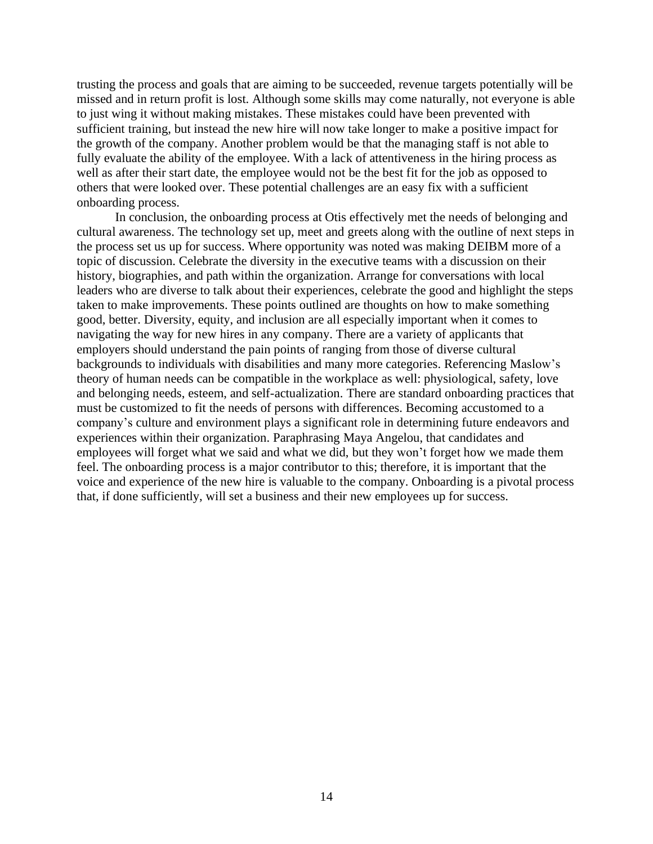trusting the process and goals that are aiming to be succeeded, revenue targets potentially will be missed and in return profit is lost. Although some skills may come naturally, not everyone is able to just wing it without making mistakes. These mistakes could have been prevented with sufficient training, but instead the new hire will now take longer to make a positive impact for the growth of the company. Another problem would be that the managing staff is not able to fully evaluate the ability of the employee. With a lack of attentiveness in the hiring process as well as after their start date, the employee would not be the best fit for the job as opposed to others that were looked over. These potential challenges are an easy fix with a sufficient onboarding process.

In conclusion, the onboarding process at Otis effectively met the needs of belonging and cultural awareness. The technology set up, meet and greets along with the outline of next steps in the process set us up for success. Where opportunity was noted was making DEIBM more of a topic of discussion. Celebrate the diversity in the executive teams with a discussion on their history, biographies, and path within the organization. Arrange for conversations with local leaders who are diverse to talk about their experiences, celebrate the good and highlight the steps taken to make improvements. These points outlined are thoughts on how to make something good, better. Diversity, equity, and inclusion are all especially important when it comes to navigating the way for new hires in any company. There are a variety of applicants that employers should understand the pain points of ranging from those of diverse cultural backgrounds to individuals with disabilities and many more categories. Referencing Maslow's theory of human needs can be compatible in the workplace as well: physiological, safety, love and belonging needs, esteem, and self-actualization. There are standard onboarding practices that must be customized to fit the needs of persons with differences. Becoming accustomed to a company's culture and environment plays a significant role in determining future endeavors and experiences within their organization. Paraphrasing Maya Angelou, that candidates and employees will forget what we said and what we did, but they won't forget how we made them feel. The onboarding process is a major contributor to this; therefore, it is important that the voice and experience of the new hire is valuable to the company. Onboarding is a pivotal process that, if done sufficiently, will set a business and their new employees up for success.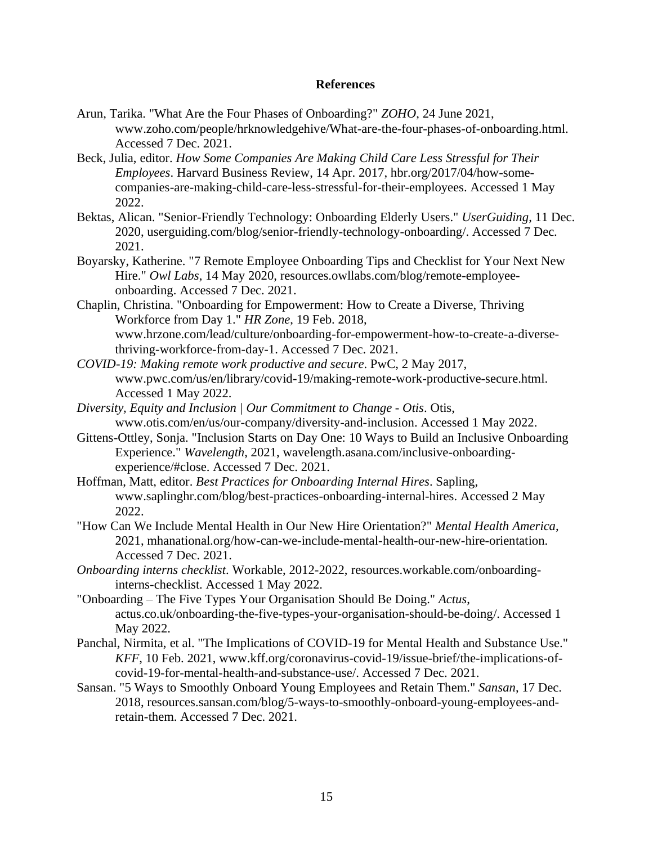# **References**

- <span id="page-15-0"></span>Arun, Tarika. "What Are the Four Phases of Onboarding?" *ZOHO*, 24 June 2021, www.zoho.com/people/hrknowledgehive/What-are-the-four-phases-of-onboarding.html. Accessed 7 Dec. 2021.
- Beck, Julia, editor. *How Some Companies Are Making Child Care Less Stressful for Their Employees*. Harvard Business Review, 14 Apr. 2017, hbr.org/2017/04/how-somecompanies-are-making-child-care-less-stressful-for-their-employees. Accessed 1 May 2022.
- Bektas, Alican. "Senior-Friendly Technology: Onboarding Elderly Users." *UserGuiding*, 11 Dec. 2020, userguiding.com/blog/senior-friendly-technology-onboarding/. Accessed 7 Dec. 2021.
- Boyarsky, Katherine. "7 Remote Employee Onboarding Tips and Checklist for Your Next New Hire." *Owl Labs*, 14 May 2020, resources.owllabs.com/blog/remote-employeeonboarding. Accessed 7 Dec. 2021.
- Chaplin, Christina. "Onboarding for Empowerment: How to Create a Diverse, Thriving Workforce from Day 1." *HR Zone*, 19 Feb. 2018, www.hrzone.com/lead/culture/onboarding-for-empowerment-how-to-create-a-diversethriving-workforce-from-day-1. Accessed 7 Dec. 2021.
- *COVID-19: Making remote work productive and secure*. PwC, 2 May 2017, www.pwc.com/us/en/library/covid-19/making-remote-work-productive-secure.html. Accessed 1 May 2022.
- *Diversity, Equity and Inclusion | Our Commitment to Change - Otis*. Otis, www.otis.com/en/us/our-company/diversity-and-inclusion. Accessed 1 May 2022.
- Gittens-Ottley, Sonja. "Inclusion Starts on Day One: 10 Ways to Build an Inclusive Onboarding Experience." *Wavelength*, 2021, wavelength.asana.com/inclusive-onboardingexperience/#close. Accessed 7 Dec. 2021.
- Hoffman, Matt, editor. *Best Practices for Onboarding Internal Hires*. Sapling, www.saplinghr.com/blog/best-practices-onboarding-internal-hires. Accessed 2 May 2022.
- "How Can We Include Mental Health in Our New Hire Orientation?" *Mental Health America*, 2021, mhanational.org/how-can-we-include-mental-health-our-new-hire-orientation. Accessed 7 Dec. 2021.
- *Onboarding interns checklist*. Workable, 2012-2022, resources.workable.com/onboardinginterns-checklist. Accessed 1 May 2022.
- "Onboarding The Five Types Your Organisation Should Be Doing." *Actus*, actus.co.uk/onboarding-the-five-types-your-organisation-should-be-doing/. Accessed 1 May 2022.
- Panchal, Nirmita, et al. "The Implications of COVID-19 for Mental Health and Substance Use." *KFF*, 10 Feb. 2021, www.kff.org/coronavirus-covid-19/issue-brief/the-implications-ofcovid-19-for-mental-health-and-substance-use/. Accessed 7 Dec. 2021.
- Sansan. "5 Ways to Smoothly Onboard Young Employees and Retain Them." *Sansan*, 17 Dec. 2018, resources.sansan.com/blog/5-ways-to-smoothly-onboard-young-employees-andretain-them. Accessed 7 Dec. 2021.